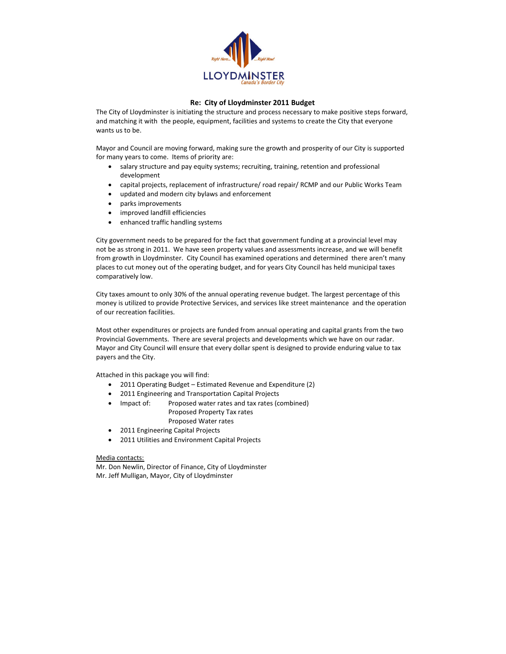

## Re: City of Lloydminster 2011 Budget

The City of Lloydminster is initiating the structure and process necessary to make positive steps forward, and matching it with the people, equipment, facilities and systems to create the City that everyone wants us to be.

Mayor and Council are moving forward, making sure the growth and prosperity of our City is supported for many years to come. Items of priority are:

- $\bullet$  salary structure and pay equity systems; recruiting, training, retention and professional development
- capital projects, replacement of infrastructure/ road repair/ RCMP and our Public Works Team
- updated and modern city bylaws and enforcement
- parks improvements
- improved landfill efficiencies
- enhanced traffic handling systems

City government needs to be prepared for the fact that government funding at a provincial level may not be as strong in 2011. We have seen property values and assessments increase, and we will benefit from growth in Lloydminster. City Council has examined operations and determined there aren't many places to cut money out of the operating budget, and for years City Council has held municipal taxes comparatively low.

City taxes amount to only 30% of the annual operating revenue budget. The largest percentage of this money is utilized to provide Protective Services, and services like street maintenance and the operation of our recreation facilities.

Most other expenditures or projects are funded from annual operating and capital grants from the two Provincial Governments. There are several projects and developments which we have on our radar. Mayor and City Council will ensure that every dollar spent is designed to provide enduring value to tax payers and the City.

Attached in this package you will find:

- " 2011 Operating Budget Estimated Revenue and Expenditure (2)
- 2011 Engineering and Transportation Capital Projects
- . Impact of: Proposed water rates and tax rates (combined) Proposed Property Tax rates Proposed Water rates
	- 2011 Engineering Capital Projects
- $\bullet$  2011 Utilities and Environment Capital Projects

## Media contacts:

Mr. Don Newlin, Director of Finance, City of Lloydminster Mr. Jeff Mulligan, Mayor, City of Lloydminster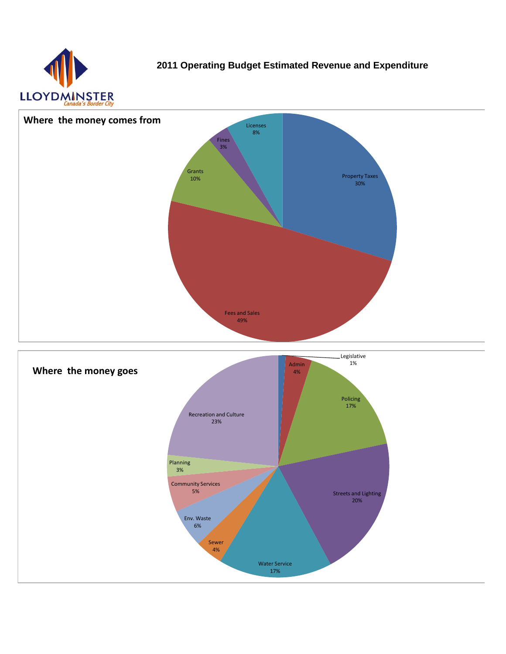

**2011 Operating Budget Estimated Revenue and Expenditure**



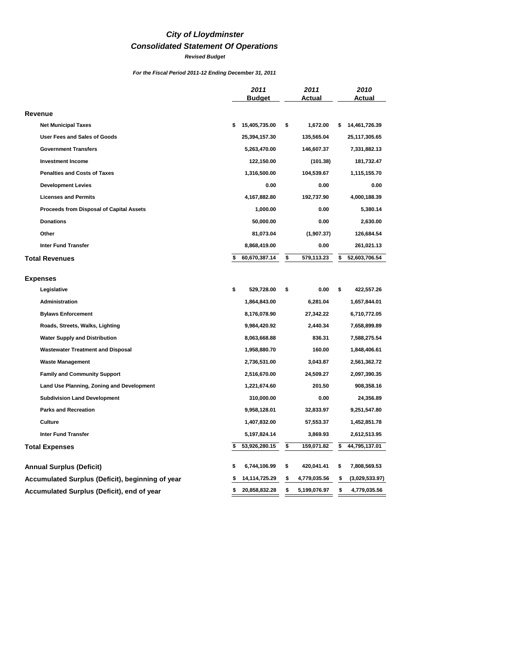## *City of Lloydminster*

## *Consolidated Statement Of Operations*

*Revised Budget*

*For the Fiscal Period 2011-12 Ending December 31, 2011*

|                                                  | 2011<br><b>Budget</b> | 2011<br>Actual     | 2010<br>Actual       |
|--------------------------------------------------|-----------------------|--------------------|----------------------|
| Revenue                                          |                       |                    |                      |
| <b>Net Municipal Taxes</b>                       | 15,405,735.00<br>\$   | \$<br>1,672.00     | \$<br>14,461,726.39  |
| <b>User Fees and Sales of Goods</b>              | 25,394,157.30         | 135,565.04         | 25,117,305.65        |
| <b>Government Transfers</b>                      | 5,263,470.00          | 146,607.37         | 7,331,882.13         |
| <b>Investment Income</b>                         | 122,150.00            | (101.38)           | 181,732.47           |
| <b>Penalties and Costs of Taxes</b>              | 1,316,500.00          | 104,539.67         | 1,115,155.70         |
| <b>Development Levies</b>                        | 0.00                  | 0.00               | 0.00                 |
| <b>Licenses and Permits</b>                      | 4,167,882.80          | 192,737.90         | 4,000,188.39         |
| Proceeds from Disposal of Capital Assets         | 1,000.00              | 0.00               | 5,380.14             |
| <b>Donations</b>                                 | 50,000.00             | 0.00               | 2,630.00             |
| Other                                            | 81,073.04             | (1,907.37)         | 126,684.54           |
| <b>Inter Fund Transfer</b>                       | 8,868,419.00          | 0.00               | 261,021.13           |
| <b>Total Revenues</b>                            | 60,670,387.14<br>\$   | \$<br>579,113.23   | \$<br>52,603,706.54  |
|                                                  |                       |                    |                      |
| <b>Expenses</b>                                  |                       |                    |                      |
| Legislative                                      | \$<br>529,728.00      | \$<br>0.00         | \$<br>422,557.26     |
| Administration                                   | 1,864,843.00          | 6,281.04           | 1,657,844.01         |
| <b>Bylaws Enforcement</b>                        | 8,176,078.90          | 27,342.22          | 6,710,772.05         |
| Roads, Streets, Walks, Lighting                  | 9,984,420.92          | 2,440.34           | 7,658,899.89         |
| <b>Water Supply and Distribution</b>             | 8,063,668.88          | 836.31             | 7,588,275.54         |
| <b>Wastewater Treatment and Disposal</b>         | 1,958,880.70          | 160.00             | 1,848,406.61         |
| <b>Waste Management</b>                          | 2,736,531.00          | 3,043.87           | 2,561,362.72         |
| <b>Family and Community Support</b>              | 2,516,670.00          | 24,509.27          | 2,097,390.35         |
| Land Use Planning, Zoning and Development        | 1,221,674.60          | 201.50             | 908,358.16           |
| <b>Subdivision Land Development</b>              | 310,000.00            | 0.00               | 24,356.89            |
| <b>Parks and Recreation</b>                      | 9,958,128.01          | 32,833.97          | 9,251,547.80         |
| Culture                                          | 1,407,832.00          | 57,553.37          | 1,452,851.78         |
| <b>Inter Fund Transfer</b>                       | 5,197,824.14          | 3,869.93           | 2,612,513.95         |
| <b>Total Expenses</b>                            | 53,926,280.15<br>s    | \$<br>159,071.82   | \$<br>44,795,137.01  |
|                                                  |                       |                    |                      |
| <b>Annual Surplus (Deficit)</b>                  | 6,744,106.99<br>\$    | \$<br>420,041.41   | \$<br>7,808,569.53   |
| Accumulated Surplus (Deficit), beginning of year | 14,114,725.29         | \$<br>4,779,035.56 | \$<br>(3,029,533.97) |
| Accumulated Surplus (Deficit), end of year       | 20,858,832.28<br>\$   | \$<br>5,199,076.97 | \$<br>4,779,035.56   |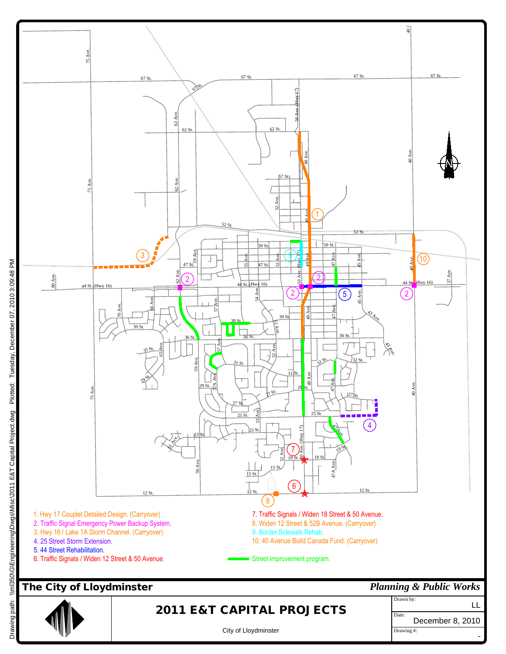

Drawing path: \\ml350\G\Engineering\Dwgs\Misc\2011 E&T Capital Project.dwg Plotted: Tuesday, December 07, 2010 3:09:48 PM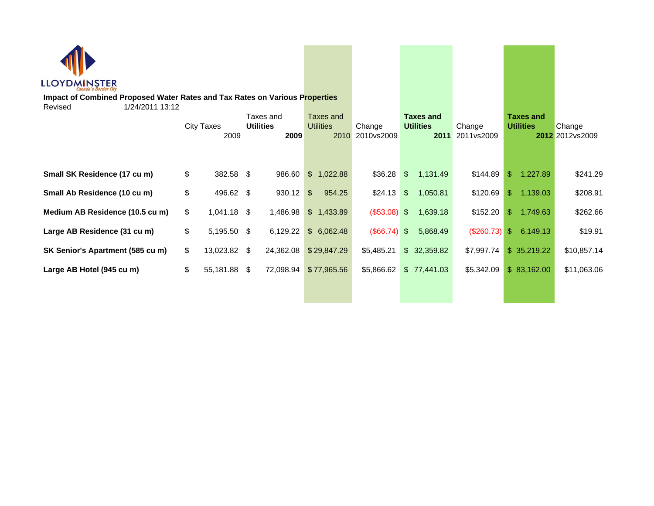| LLOYDMINSTER                                                                                              |                           |                                       |               |                               |                             |               |                                              |                      |     |                                      |                            |
|-----------------------------------------------------------------------------------------------------------|---------------------------|---------------------------------------|---------------|-------------------------------|-----------------------------|---------------|----------------------------------------------|----------------------|-----|--------------------------------------|----------------------------|
| Impact of Combined Proposed Water Rates and Tax Rates on Various Properties<br>1/24/2011 13:12<br>Revised |                           |                                       |               |                               |                             |               |                                              |                      |     |                                      |                            |
|                                                                                                           | <b>City Taxes</b><br>2009 | Taxes and<br><b>Utilities</b><br>2009 |               | Taxes and<br><b>Utilities</b> | Change<br>2010 2010 vs 2009 |               | <b>Taxes and</b><br><b>Utilities</b><br>2011 | Change<br>2011vs2009 |     | <b>Taxes and</b><br><b>Utilities</b> | Change<br>2012 2012 vs2009 |
| Small SK Residence (17 cu m)                                                                              | \$<br>382.58 \$           | 986.60                                |               | \$1,022.88                    | \$36.28                     | \$            | 1,131.49                                     | \$144.89             | \$. | 1,227.89                             | \$241.29                   |
| Small Ab Residence (10 cu m)                                                                              | \$<br>496.62 \$           | 930.12                                | $\frac{2}{3}$ | 954.25                        | \$24.13                     | $\frac{1}{2}$ | 1,050.81                                     | \$120.69             |     | \$1,139.03                           | \$208.91                   |
| Medium AB Residence (10.5 cu m)                                                                           | \$<br>$1,041.18$ \$       | 1,486.98                              |               | \$1,433.89                    | $(\$53.08)$ \$              |               | 1,639.18                                     | \$152.20             | \$. | 1,749.63                             | \$262.66                   |
| Large AB Residence (31 cu m)                                                                              | \$<br>5,195.50 \$         | 6,129.22                              |               | \$6,062.48                    | $(\$66.74)$ \\$             |               | 5,868.49                                     | (\$260.73)           |     | \$6,149.13                           | \$19.91                    |
| SK Senior's Apartment (585 cu m)                                                                          | \$<br>13,023.82 \$        | 24,362.08                             |               | \$29,847.29                   | \$5,485.21                  |               | \$32,359.82                                  | \$7,997.74           |     | \$35,219.22                          | \$10,857.14                |
| Large AB Hotel (945 cu m)                                                                                 | \$<br>55,181.88 \$        | 72,098.94                             |               | \$77,965.56                   | \$5,866.62                  |               | \$77,441.03                                  | \$5,342.09           |     | \$83,162.00                          | \$11,063.06                |
|                                                                                                           |                           |                                       |               |                               |                             |               |                                              |                      |     |                                      |                            |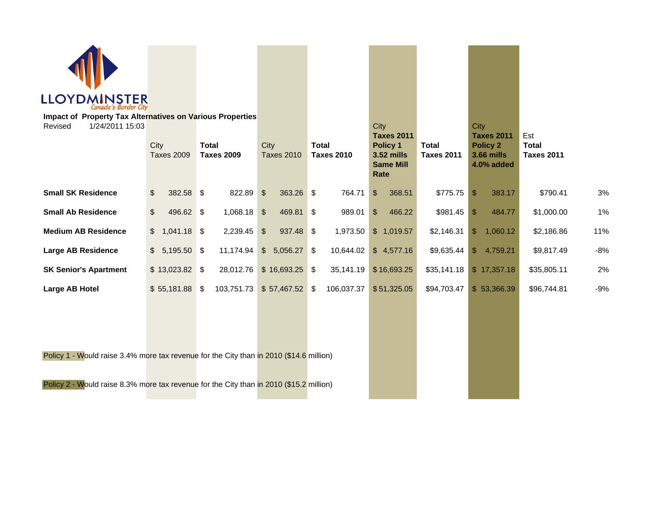

**Impact of Property Tax Alternatives on Various Properties**

| 1/24/2011 15:03<br>Revised                                                              | City<br><b>Taxes 2009</b>  | <b>Total</b><br><b>Taxes 2009</b> | City<br><b>Taxes 2010</b>   | <b>Total</b><br><b>Taxes 2010</b> | City<br><b>Taxes 2011</b><br>Policy 1<br>3.52 mills<br><b>Same Mill</b><br><b>Rate</b> | <b>Total</b><br><b>Taxes 2011</b> | City<br><b>Taxes 2011</b><br><b>Policy 2</b><br><b>3.66 mills</b><br>4.0% added | Est<br><b>Total</b><br><b>Taxes 2011</b> |       |
|-----------------------------------------------------------------------------------------|----------------------------|-----------------------------------|-----------------------------|-----------------------------------|----------------------------------------------------------------------------------------|-----------------------------------|---------------------------------------------------------------------------------|------------------------------------------|-------|
| <b>Small SK Residence</b>                                                               | $\frac{1}{2}$<br>382.58 \$ | 822.89                            | $\mathfrak{F}$<br>363.26 \$ | 764.71                            | $\boldsymbol{\mathsf{S}}$<br>368.51                                                    | \$775.75                          | $\mathbb{S}$<br>383.17                                                          | \$790.41                                 | 3%    |
| <b>Small Ab Residence</b>                                                               | $\frac{1}{2}$<br>496.62 \$ | 1,068.18                          | 469.81 \$<br>$\mathcal{L}$  | 989.01                            | $\frac{1}{2}$<br>466.22                                                                | $$981.45$ \\$                     | 484.77                                                                          | \$1,000.00                               | $1\%$ |
| <b>Medium AB Residence</b>                                                              | $$1,041.18$ \$             | 2,239.45                          | 937.48 \$<br>$\mathcal{L}$  | 1,973.50                          | \$1,019.57                                                                             | \$2,146.31                        | \$1,060.12                                                                      | \$2,186.86                               | 11%   |
| Large AB Residence                                                                      | $$5,195.50$ \\$            | 11,174.94                         | $$5,056.27$ \\$             | 10,644.02                         | \$4,577.16                                                                             | \$9,635.44                        | \$4,759.21                                                                      | \$9,817.49                               | $-8%$ |
| <b>SK Senior's Apartment</b>                                                            | $$13,023.82$ \$            | 28,012.76                         | \$16,693.25                 | -\$<br>35,141.19                  | \$16,693.25                                                                            | \$35,141.18                       | \$17,357.18                                                                     | \$35,805.11                              | 2%    |
| Large AB Hotel                                                                          | $$55,181.88$ \;            | 103,751.73                        | \$57,467.52                 | 106,037.37<br>\$                  | \$51,325.05                                                                            | \$94,703.47                       | \$53,366.39                                                                     | \$96,744.81                              | $-9%$ |
|                                                                                         |                            |                                   |                             |                                   |                                                                                        |                                   |                                                                                 |                                          |       |
| Policy 1 - Would raise 3.4% more tax revenue for the City than in 2010 (\$14.6 million) |                            |                                   |                             |                                   |                                                                                        |                                   |                                                                                 |                                          |       |
| Policy 2 - Would raise 8.3% more tax revenue for the City than in 2010 (\$15.2 million) |                            |                                   |                             |                                   |                                                                                        |                                   |                                                                                 |                                          |       |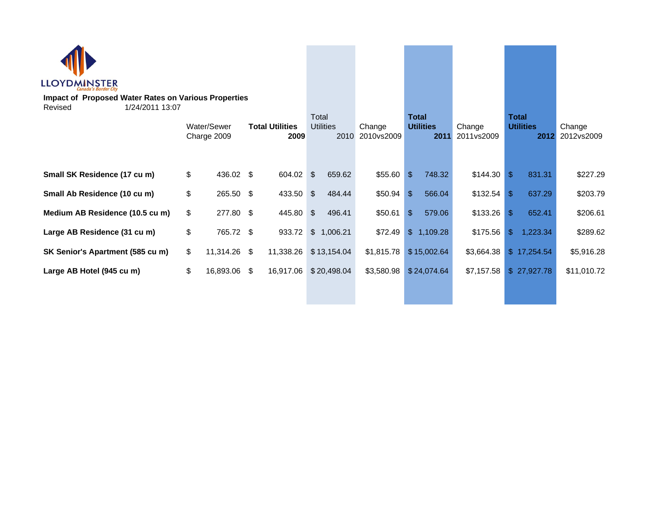| <b>LLOYDMINSTER</b>                                                                       |    |                            |                                |           |                                   |                      |                                          |                |                      |                                          |               |                      |             |
|-------------------------------------------------------------------------------------------|----|----------------------------|--------------------------------|-----------|-----------------------------------|----------------------|------------------------------------------|----------------|----------------------|------------------------------------------|---------------|----------------------|-------------|
| <b>Impact of Proposed Water Rates on Various Properties</b><br>1/24/2011 13:07<br>Revised |    |                            |                                |           |                                   |                      |                                          |                |                      |                                          |               |                      |             |
|                                                                                           |    | Water/Sewer<br>Charge 2009 | <b>Total Utilities</b><br>2009 |           | Total<br><b>Utilities</b><br>2010 | Change<br>2010vs2009 | <b>Total</b><br><b>Utilities</b><br>2011 |                | Change<br>2011vs2009 | <b>Total</b><br><b>Utilities</b><br>2012 |               | Change<br>2012vs2009 |             |
| Small SK Residence (17 cu m)                                                              | \$ | 436.02 \$                  |                                | 604.02 \$ |                                   | 659.62               | \$55.60                                  | $\mathfrak{S}$ | 748.32               | \$144.30                                 | $\sqrt[6]{3}$ | 831.31               | \$227.29    |
| Small Ab Residence (10 cu m)                                                              | \$ | 265.50 \$                  |                                | 433.50    | $\boldsymbol{\mathsf{S}}$         | 484.44               | \$50.94                                  | $\mathfrak{S}$ | 566.04               | \$132.54                                 | -S            | 637.29               | \$203.79    |
| Medium AB Residence (10.5 cu m)                                                           | \$ | 277.80 \$                  |                                | 445.80    | \$                                | 496.41               | \$50.61                                  | $\mathfrak{S}$ | 579.06               | \$133.26                                 | -S            | 652.41               | \$206.61    |
| Large AB Residence (31 cu m)                                                              | \$ | 765.72 \$                  |                                | 933.72    |                                   | \$1,006.21           | \$72.49                                  |                | \$1,109.28           | \$175.56                                 | $\mathcal{S}$ | 1,223.34             | \$289.62    |
| SK Senior's Apartment (585 cu m)                                                          | \$ | 11,314.26 \$               |                                | 11,338.26 |                                   | \$13,154.04          | \$1,815.78                               |                | \$15,002.64          | \$3,664.38                               |               | \$17,254.54          | \$5,916.28  |
| Large AB Hotel (945 cu m)                                                                 | \$ | 16,893.06 \$               |                                | 16,917.06 |                                   | \$20,498.04          | \$3,580.98                               |                | \$24,074.64          | \$7,157.58                               |               | \$27,927.78          | \$11,010.72 |
|                                                                                           |    |                            |                                |           |                                   |                      |                                          |                |                      |                                          |               |                      |             |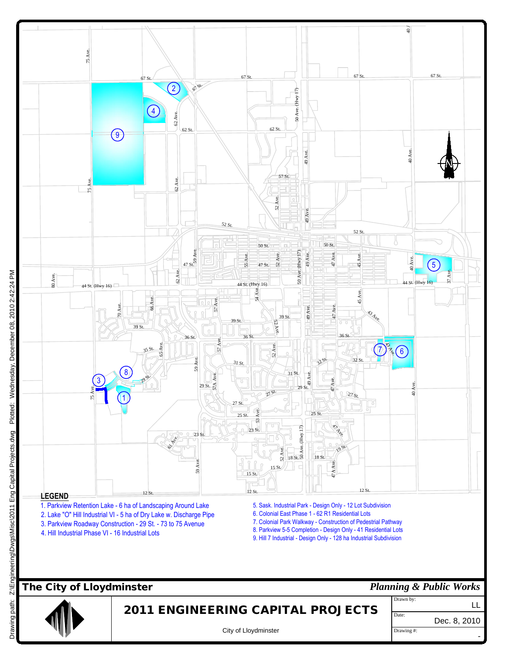